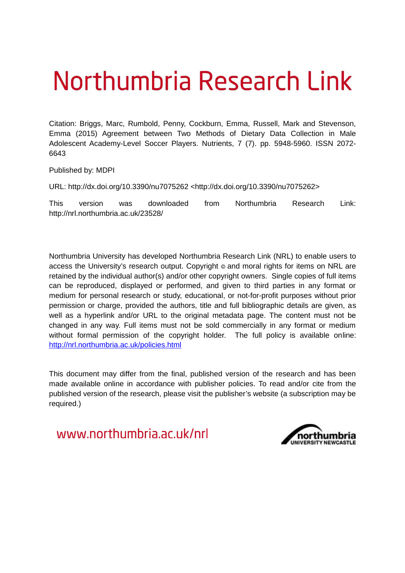# Northumbria Research Link

Citation: Briggs, Marc, Rumbold, Penny, Cockburn, Emma, Russell, Mark and Stevenson, Emma (2015) Agreement between Two Methods of Dietary Data Collection in Male Adolescent Academy-Level Soccer Players. Nutrients, 7 (7). pp. 5948-5960. ISSN 2072- 6643

Published by: MDPI

URL: http://dx.doi.org/10.3390/nu7075262 <http://dx.doi.org/10.3390/nu7075262>

This version was downloaded from Northumbria Research Link: http://nrl.northumbria.ac.uk/23528/

Northumbria University has developed Northumbria Research Link (NRL) to enable users to access the University's research output. Copyright  $\circ$  and moral rights for items on NRL are retained by the individual author(s) and/or other copyright owners. Single copies of full items can be reproduced, displayed or performed, and given to third parties in any format or medium for personal research or study, educational, or not-for-profit purposes without prior permission or charge, provided the authors, title and full bibliographic details are given, as well as a hyperlink and/or URL to the original metadata page. The content must not be changed in any way. Full items must not be sold commercially in any format or medium without formal permission of the copyright holder. The full policy is available online: <http://nrl.northumbria.ac.uk/policies.html>

This document may differ from the final, published version of the research and has been made available online in accordance with publisher policies. To read and/or cite from the published version of the research, please visit the publisher's website (a subscription may be required.)

www.northumbria.ac.uk/nrl

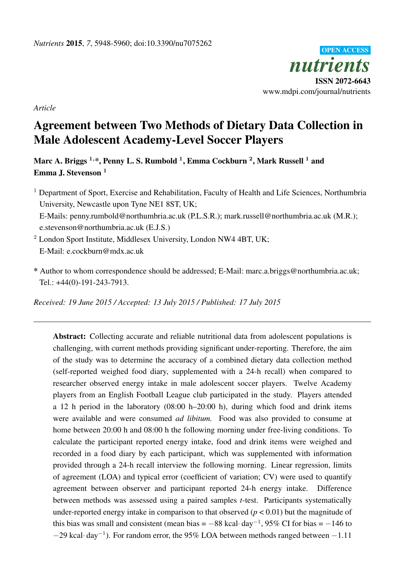

*Article*

# Agreement between Two Methods of Dietary Data Collection in Male Adolescent Academy-Level Soccer Players

Marc A. Briggs  $^{1,\ast},$  Penny L. S. Rumbold  $^{1},$  Emma Cockburn  $^{2},$  Mark Russell  $^{1}$  and Emma J. Stevenson<sup>1</sup>

- <sup>1</sup> Department of Sport, Exercise and Rehabilitation, Faculty of Health and Life Sciences, Northumbria University, Newcastle upon Tyne NE1 8ST, UK; E-Mails: penny.rumbold@northumbria.ac.uk (P.L.S.R.); mark.russell@northumbria.ac.uk (M.R.); e.stevenson@northumbria.ac.uk (E.J.S.)
- $2$  London Sport Institute, Middlesex University, London NW4 4BT, UK; E-Mail: e.cockburn@mdx.ac.uk
- \* Author to whom correspondence should be addressed; E-Mail: marc.a.briggs@northumbria.ac.uk; Tel.: +44(0)-191-243-7913.

*Received: 19 June 2015 / Accepted: 13 July 2015 / Published: 17 July 2015*

Abstract: Collecting accurate and reliable nutritional data from adolescent populations is challenging, with current methods providing significant under-reporting. Therefore, the aim of the study was to determine the accuracy of a combined dietary data collection method (self-reported weighed food diary, supplemented with a 24-h recall) when compared to researcher observed energy intake in male adolescent soccer players. Twelve Academy players from an English Football League club participated in the study. Players attended a 12 h period in the laboratory (08:00 h–20:00 h), during which food and drink items were available and were consumed *ad libitum.* Food was also provided to consume at home between 20:00 h and 08:00 h the following morning under free-living conditions. To calculate the participant reported energy intake, food and drink items were weighed and recorded in a food diary by each participant, which was supplemented with information provided through a 24-h recall interview the following morning. Linear regression, limits of agreement (LOA) and typical error (coefficient of variation; CV) were used to quantify agreement between observer and participant reported 24-h energy intake. Difference between methods was assessed using a paired samples *t*-test. Participants systematically under-reported energy intake in comparison to that observed  $(p < 0.01)$  but the magnitude of this bias was small and consistent (mean bias  $= -88$  kcal·day<sup>-1</sup>, 95% CI for bias  $= -146$  to  $-29$  kcal·day<sup>-1</sup>). For random error, the 95% LOA between methods ranged between  $-1.11$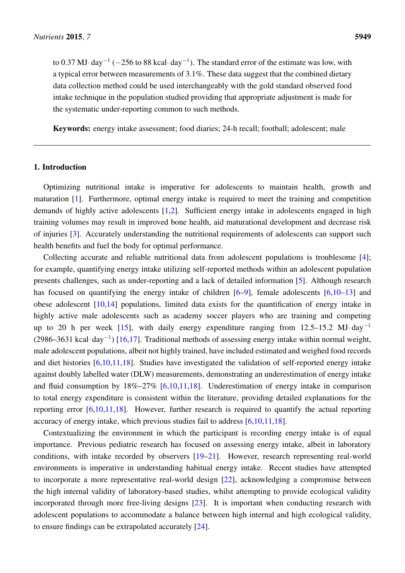to 0.37 MJ·day<sup>-1</sup> (-256 to 88 kcal·day<sup>-1</sup>). The standard error of the estimate was low, with a typical error between measurements of 3.1%. These data suggest that the combined dietary data collection method could be used interchangeably with the gold standard observed food intake technique in the population studied providing that appropriate adjustment is made for the systematic under-reporting common to such methods.

Keywords: energy intake assessment; food diaries; 24-h recall; football; adolescent; male

# 1. Introduction

Optimizing nutritional intake is imperative for adolescents to maintain health, growth and maturation [\[1\]](#page-9-0). Furthermore, optimal energy intake is required to meet the training and competition demands of highly active adolescents [\[1](#page-9-0)[,2\]](#page-9-1). Sufficient energy intake in adolescents engaged in high training volumes may result in improved bone health, aid maturational development and decrease risk of injuries [\[3\]](#page-9-2). Accurately understanding the nutritional requirements of adolescents can support such health benefits and fuel the body for optimal performance.

Collecting accurate and reliable nutritional data from adolescent populations is troublesome [\[4\]](#page-9-3); for example, quantifying energy intake utilizing self-reported methods within an adolescent population presents challenges, such as under-reporting and a lack of detailed information [\[5\]](#page-9-4). Although research has focused on quantifying the energy intake of children [\[6](#page-9-5)[–9\]](#page-9-6), female adolescents [6[,10](#page-9-7)[–13\]](#page-10-0) and obese adolescent [\[10,](#page-9-7)[14\]](#page-10-1) populations, limited data exists for the quantification of energy intake in highly active male adolescents such as academy soccer players who are training and competing up to 20 h per week  $[15]$ , with daily energy expenditure ranging from 12.5–15.2 MJ·day<sup>-1</sup> (2986–3631 kcal·day<sup>-1</sup>) [\[16](#page-10-3)[,17\]](#page-10-4). Traditional methods of assessing energy intake within normal weight, male adolescent populations, albeit not highly trained, have included estimated and weighed food records and diet histories [\[6](#page-9-5)[,10,](#page-9-7)[11,](#page-9-8)[18\]](#page-10-5). Studies have investigated the validation of self-reported energy intake against doubly labelled water (DLW) measurements, demonstrating an underestimation of energy intake and fluid consumption by  $18\% - 27\%$  [\[6,](#page-9-5)[10,](#page-9-7)[11,](#page-9-8)[18\]](#page-10-5). Underestimation of energy intake in comparison to total energy expenditure is consistent within the literature, providing detailed explanations for the reporting error  $[6,10,11,18]$  $[6,10,11,18]$  $[6,10,11,18]$  $[6,10,11,18]$ . However, further research is required to quantify the actual reporting accuracy of energy intake, which previous studies fail to address [\[6](#page-9-5)[,10](#page-9-7)[,11](#page-9-8)[,18\]](#page-10-5).

Contextualizing the environment in which the participant is recording energy intake is of equal importance. Previous pediatric research has focused on assessing energy intake, albeit in laboratory conditions, with intake recorded by observers [\[19–](#page-10-6)[21\]](#page-10-7). However, research representing real-world environments is imperative in understanding habitual energy intake. Recent studies have attempted to incorporate a more representative real-world design [\[22\]](#page-10-8), acknowledging a compromise between the high internal validity of laboratory-based studies, whilst attempting to provide ecological validity incorporated through more free-living designs [\[23\]](#page-10-9). It is important when conducting research with adolescent populations to accommodate a balance between high internal and high ecological validity, to ensure findings can be extrapolated accurately [\[24\]](#page-10-10).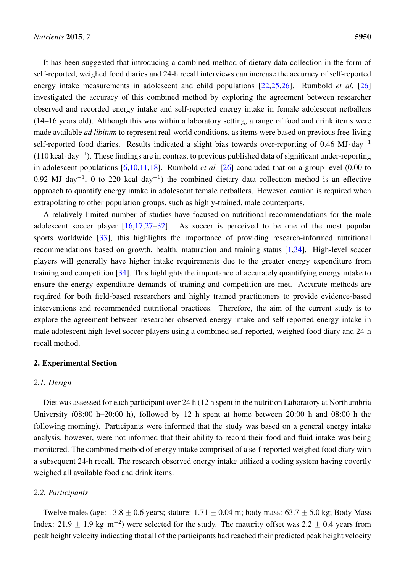It has been suggested that introducing a combined method of dietary data collection in the form of self-reported, weighed food diaries and 24-h recall interviews can increase the accuracy of self-reported energy intake measurements in adolescent and child populations [\[22,](#page-10-8)[25,](#page-11-0)[26\]](#page-11-1). Rumbold *et al.* [\[26\]](#page-11-1) investigated the accuracy of this combined method by exploring the agreement between researcher observed and recorded energy intake and self-reported energy intake in female adolescent netballers (14–16 years old). Although this was within a laboratory setting, a range of food and drink items were made available *ad libitum* to represent real-world conditions, as items were based on previous free-living self-reported food diaries. Results indicated a slight bias towards over-reporting of 0.46 MJ· day<sup>-1</sup>  $(110 \text{ kcal} \cdot \text{day}^{-1})$ . These findings are in contrast to previous published data of significant under-reporting in adolescent populations [\[6](#page-9-5)[,10](#page-9-7)[,11](#page-9-8)[,18\]](#page-10-5). Rumbold *et al.* [\[26\]](#page-11-1) concluded that on a group level (0.00 to 0.92 MJ· day<sup>-1</sup>, 0 to 220 kcal· day<sup>-1</sup>) the combined dietary data collection method is an effective approach to quantify energy intake in adolescent female netballers. However, caution is required when extrapolating to other population groups, such as highly-trained, male counterparts.

A relatively limited number of studies have focused on nutritional recommendations for the male adolescent soccer player [\[16](#page-10-3)[,17](#page-10-4)[,27–](#page-11-2)[32\]](#page-11-3). As soccer is perceived to be one of the most popular sports worldwide [\[33\]](#page-11-4), this highlights the importance of providing research-informed nutritional recommendations based on growth, health, maturation and training status [\[1](#page-9-0)[,34\]](#page-11-5). High-level soccer players will generally have higher intake requirements due to the greater energy expenditure from training and competition [\[34\]](#page-11-5). This highlights the importance of accurately quantifying energy intake to ensure the energy expenditure demands of training and competition are met. Accurate methods are required for both field-based researchers and highly trained practitioners to provide evidence-based interventions and recommended nutritional practices. Therefore, the aim of the current study is to explore the agreement between researcher observed energy intake and self-reported energy intake in male adolescent high-level soccer players using a combined self-reported, weighed food diary and 24-h recall method.

# 2. Experimental Section

# <span id="page-3-0"></span>*2.1. Design*

Diet was assessed for each participant over 24 h (12 h spent in the nutrition Laboratory at Northumbria University (08:00 h–20:00 h), followed by 12 h spent at home between 20:00 h and 08:00 h the following morning). Participants were informed that the study was based on a general energy intake analysis, however, were not informed that their ability to record their food and fluid intake was being monitored. The combined method of energy intake comprised of a self-reported weighed food diary with a subsequent 24-h recall. The research observed energy intake utilized a coding system having covertly weighed all available food and drink items.

#### *2.2. Participants*

Twelve males (age:  $13.8 \pm 0.6$  years; stature:  $1.71 \pm 0.04$  m; body mass:  $63.7 \pm 5.0$  kg; Body Mass Index: 21.9  $\pm$  1.9 kg·m<sup>-2</sup>) were selected for the study. The maturity offset was 2.2  $\pm$  0.4 years from peak height velocity indicating that all of the participants had reached their predicted peak height velocity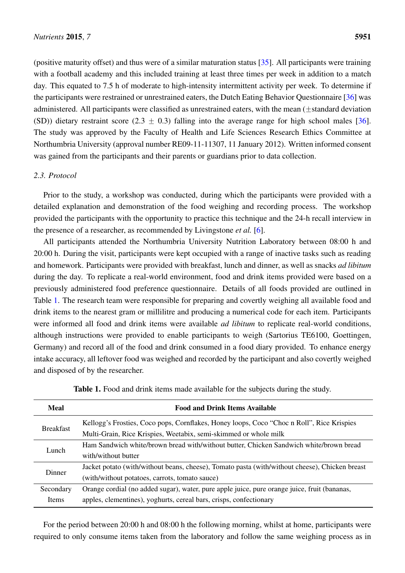(positive maturity offset) and thus were of a similar maturation status [\[35\]](#page-11-6). All participants were training with a football academy and this included training at least three times per week in addition to a match day. This equated to 7.5 h of moderate to high-intensity intermittent activity per week. To determine if the participants were restrained or unrestrained eaters, the Dutch Eating Behavior Questionnaire [\[36\]](#page-11-7) was administered. All participants were classified as unrestrained eaters, with the mean  $(\pm$ standard deviation (SD)) dietary restraint score (2.3  $\pm$  0.3) falling into the average range for high school males [\[36\]](#page-11-7). The study was approved by the Faculty of Health and Life Sciences Research Ethics Committee at Northumbria University (approval number RE09-11-11307, 11 January 2012). Written informed consent was gained from the participants and their parents or guardians prior to data collection.

# *2.3. Protocol*

Prior to the study, a workshop was conducted, during which the participants were provided with a detailed explanation and demonstration of the food weighing and recording process. The workshop provided the participants with the opportunity to practice this technique and the 24-h recall interview in the presence of a researcher, as recommended by Livingstone *et al.* [\[6\]](#page-9-5).

All participants attended the Northumbria University Nutrition Laboratory between 08:00 h and 20:00 h. During the visit, participants were kept occupied with a range of inactive tasks such as reading and homework. Participants were provided with breakfast, lunch and dinner, as well as snacks *ad libitum* during the day. To replicate a real-world environment, food and drink items provided were based on a previously administered food preference questionnaire. Details of all foods provided are outlined in Table [1.](#page-3-0) The research team were responsible for preparing and covertly weighing all available food and drink items to the nearest gram or millilitre and producing a numerical code for each item. Participants were informed all food and drink items were available *ad libitum* to replicate real-world conditions, although instructions were provided to enable participants to weigh (Sartorius TE6100, Goettingen, Germany) and record all of the food and drink consumed in a food diary provided. To enhance energy intake accuracy, all leftover food was weighed and recorded by the participant and also covertly weighed and disposed of by the researcher.

| <b>Meal</b>      | <b>Food and Drink Items Available</b>                                                          |
|------------------|------------------------------------------------------------------------------------------------|
| <b>Breakfast</b> | Kellogg's Frosties, Coco pops, Cornflakes, Honey loops, Coco "Choc n Roll", Rice Krispies      |
|                  | Multi-Grain, Rice Krispies, Weetabix, semi-skimmed or whole milk                               |
| Lunch.           | Ham Sandwich white/brown bread with/without butter, Chicken Sandwich white/brown bread         |
|                  | with/without butter                                                                            |
| Dinner           | Jacket potato (with/without beans, cheese), Tomato pasta (with/without cheese), Chicken breast |
|                  | (with/without potatoes, carrots, tomato sauce)                                                 |
| Secondary        | Orange cordial (no added sugar), water, pure apple juice, pure orange juice, fruit (bananas,   |
| Items            | apples, clementines), yoghurts, cereal bars, crisps, confectionary                             |

Table 1. Food and drink items made available for the subjects during the study.

For the period between 20:00 h and 08:00 h the following morning, whilst at home, participants were required to only consume items taken from the laboratory and follow the same weighing process as in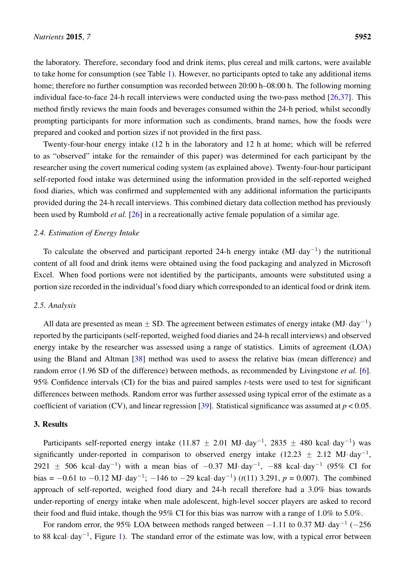the laboratory. Therefore, secondary food and drink items, plus cereal and milk cartons, were available to take home for consumption (see Table [1\)](#page-3-0). However, no participants opted to take any additional items home; therefore no further consumption was recorded between 20:00 h–08:00 h. The following morning individual face-to-face 24-h recall interviews were conducted using the two-pass method  $[26,37]$  $[26,37]$ . This method firstly reviews the main foods and beverages consumed within the 24-h period, whilst secondly prompting participants for more information such as condiments, brand names, how the foods were prepared and cooked and portion sizes if not provided in the first pass.

<span id="page-5-0"></span>Twenty-four-hour energy intake (12 h in the laboratory and 12 h at home; which will be referred to as "observed" intake for the remainder of this paper) was determined for each participant by the researcher using the covert numerical coding system (as explained above). Twenty-four-hour participant self-reported food intake was determined using the information provided in the self-reported weighed food diaries, which was confirmed and supplemented with any additional information the participants provided during the 24-h recall interviews. This combined dietary data collection method has previously been used by Rumbold *et al.* [\[26\]](#page-11-1) in a recreationally active female population of a similar age.

#### *2.4. Estimation of Energy Intake*

To calculate the observed and participant reported 24-h energy intake  $(MJ \cdot day^{-1})$  the nutritional content of all food and drink items were obtained using the food packaging and analyzed in Microsoft Excel. When food portions were not identified by the participants, amounts were substituted using a portion size recorded in the individual's food diary which corresponded to an identical food or drink item.

#### *2.5. Analysis*

<span id="page-5-1"></span>All data are presented as mean  $\pm$  SD. The agreement between estimates of energy intake (MJ·day<sup>-1</sup>) reported by the participants (self-reported, weighed food diaries and 24-h recall interviews) and observed energy intake by the researcher was assessed using a range of statistics. Limits of agreement (LOA) using the Bland and Altman [\[38\]](#page-11-9) method was used to assess the relative bias (mean difference) and random error (1.96 SD of the difference) between methods, as recommended by Livingstone *et al.* [\[6\]](#page-9-5). 95% Confidence intervals (CI) for the bias and paired samples *t*-tests were used to test for significant differences between methods. Random error was further assessed using typical error of the estimate as a coefficient of variation (CV), and linear regression [\[39\]](#page-11-10). Statistical significance was assumed at *p* < 0.05.

#### 3. Results

Participants self-reported energy intake  $(11.87 \pm 2.01 \text{ MJ} \cdot \text{day}^{-1}, 2835 \pm 480 \text{ kcal} \cdot \text{day}^{-1})$  was significantly under-reported in comparison to observed energy intake  $(12.23 \pm 2.12 \text{ MJ} \cdot \text{day}^{-1})$ 2921  $\pm$  506 kcal·day<sup>-1</sup>) with a mean bias of -0.37 MJ·day<sup>-1</sup>, -88 kcal·day<sup>-1</sup> (95% CI for bias =  $-0.61$  to  $-0.12$  MJ· day<sup>-1</sup>;  $-146$  to  $-29$  kcal· day<sup>-1</sup>) ( $t(11)$  3.291,  $p = 0.007$ ). The combined approach of self-reported, weighed food diary and 24-h recall therefore had a 3.0% bias towards under-reporting of energy intake when male adolescent, high-level soccer players are asked to record their food and fluid intake, though the 95% CI for this bias was narrow with a range of 1.0% to 5.0%.

For random error, the 95% LOA between methods ranged between  $-1.11$  to 0.37 MJ $\cdot$  day<sup>-1</sup> ( $-256$ ) to 88 kcal·day<sup>-1</sup>, Figure [1\)](#page-5-0). The standard error of the estimate was low, with a typical error between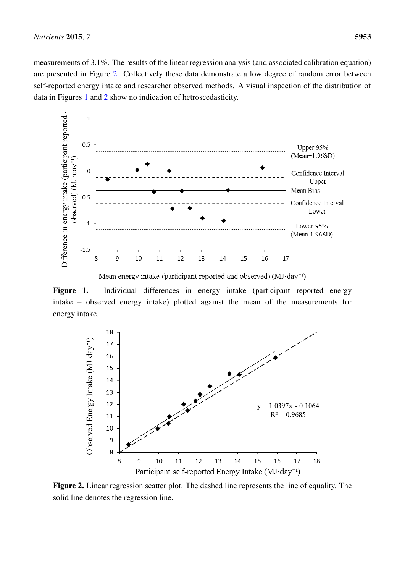measurements of 3.1%. The results of the linear regression analysis (and associated calibration equation) are presented in Figure [2.](#page-5-1) Collectively these data demonstrate a low degree of random error between self-reported energy intake and researcher observed methods. A visual inspection of the distribution of data in Figures [1](#page-5-0) and [2](#page-5-1) show no indication of hetroscedasticity.



Mean energy intake (participant reported and observed) (MJ·day<sup>-1</sup>)

− Figure 1. Individual differences in energy intake (participant reported energy intake – observed energy intake) plotted against the mean of the measurements for − energy intake.



Figure 2. Linear regression scatter plot. The dashed line represents the line of equality. The solid line denotes the regression line.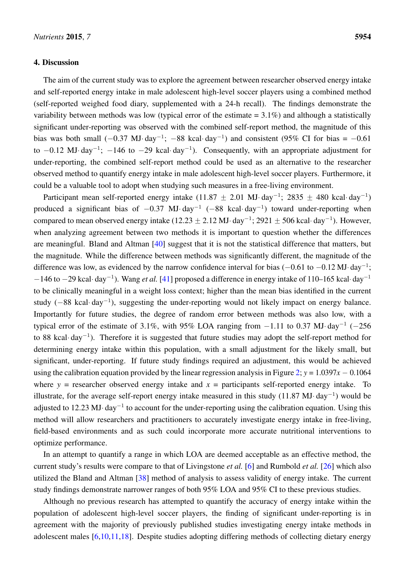#### 4. Discussion

The aim of the current study was to explore the agreement between researcher observed energy intake and self-reported energy intake in male adolescent high-level soccer players using a combined method (self-reported weighed food diary, supplemented with a 24-h recall). The findings demonstrate the variability between methods was low (typical error of the estimate  $= 3.1\%$ ) and although a statistically significant under-reporting was observed with the combined self-report method, the magnitude of this bias was both small  $(-0.37 \text{ MJ} \cdot \text{day}^{-1})$ ;  $-88 \text{ kcal} \cdot \text{day}^{-1}$ ) and consistent (95% CI for bias =  $-0.61$ ) to  $-0.12$  MJ· day<sup>-1</sup>;  $-146$  to  $-29$  kcal· day<sup>-1</sup>). Consequently, with an appropriate adjustment for under-reporting, the combined self-report method could be used as an alternative to the researcher observed method to quantify energy intake in male adolescent high-level soccer players. Furthermore, it could be a valuable tool to adopt when studying such measures in a free-living environment.

Participant mean self-reported energy intake (11.87  $\pm$  2.01 MJ·day<sup>-1</sup>; 2835  $\pm$  480 kcal·day<sup>-1</sup>) produced a significant bias of  $-0.37$  MJ· day<sup>-1</sup> ( $-88$  kcal· day<sup>-1</sup>) toward under-reporting when compared to mean observed energy intake (12.23  $\pm$  2.12 MJ·day<sup>-1</sup>; 2921  $\pm$  506 kcal·day<sup>-1</sup>). However, when analyzing agreement between two methods it is important to question whether the differences are meaningful. Bland and Altman [\[40\]](#page-11-11) suggest that it is not the statistical difference that matters, but the magnitude. While the difference between methods was significantly different, the magnitude of the difference was low, as evidenced by the narrow confidence interval for bias  $(-0.61$  to  $-0.12$  MJ· day<sup>-1</sup>;  $-146$  to  $-29$  kcal·day<sup>-1</sup>). Wang *et al.* [\[41\]](#page-11-12) proposed a difference in energy intake of 110–165 kcal·day<sup>-1</sup> to be clinically meaningful in a weight loss context; higher than the mean bias identified in the current study ( $-88$  kcal·day<sup>-1</sup>), suggesting the under-reporting would not likely impact on energy balance. Importantly for future studies, the degree of random error between methods was also low, with a typical error of the estimate of 3.1%, with 95% LOA ranging from  $-1.11$  to 0.37 MJ· day<sup>-1</sup> (-256) to 88 kcal·day<sup>-1</sup>). Therefore it is suggested that future studies may adopt the self-report method for determining energy intake within this population, with a small adjustment for the likely small, but significant, under-reporting. If future study findings required an adjustment, this would be achieved using the calibration equation provided by the linear regression analysis in Figure [2;](#page-5-1)  $y = 1.0397x - 0.1064$ where  $y =$  researcher observed energy intake and  $x =$  participants self-reported energy intake. To illustrate, for the average self-report energy intake measured in this study  $(11.87 \text{ MJ} \cdot \text{day}^{-1})$  would be adjusted to 12.23 MJ·day<sup>-1</sup> to account for the under-reporting using the calibration equation. Using this method will allow researchers and practitioners to accurately investigate energy intake in free-living, field-based environments and as such could incorporate more accurate nutritional interventions to optimize performance.

In an attempt to quantify a range in which LOA are deemed acceptable as an effective method, the current study's results were compare to that of Livingstone *et al.* [\[6\]](#page-9-5) and Rumbold *et al.* [\[26\]](#page-11-1) which also utilized the Bland and Altman [\[38\]](#page-11-9) method of analysis to assess validity of energy intake. The current study findings demonstrate narrower ranges of both 95% LOA and 95% CI to these previous studies.

Although no previous research has attempted to quantify the accuracy of energy intake within the population of adolescent high-level soccer players, the finding of significant under-reporting is in agreement with the majority of previously published studies investigating energy intake methods in adolescent males [\[6,](#page-9-5)[10,](#page-9-7)[11,](#page-9-8)[18\]](#page-10-5). Despite studies adopting differing methods of collecting dietary energy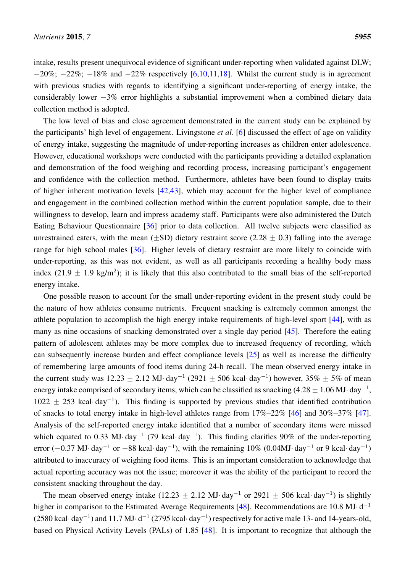intake, results present unequivocal evidence of significant under-reporting when validated against DLW;  $-20\%$ ;  $-22\%$ ;  $-18\%$  and  $-22\%$  respectively [\[6,](#page-9-5)[10,](#page-9-7)[11,](#page-9-8)[18\]](#page-10-5). Whilst the current study is in agreement with previous studies with regards to identifying a significant under-reporting of energy intake, the considerably lower  $-3\%$  error highlights a substantial improvement when a combined dietary data collection method is adopted.

The low level of bias and close agreement demonstrated in the current study can be explained by the participants' high level of engagement. Livingstone *et al.* [\[6\]](#page-9-5) discussed the effect of age on validity of energy intake, suggesting the magnitude of under-reporting increases as children enter adolescence. However, educational workshops were conducted with the participants providing a detailed explanation and demonstration of the food weighing and recording process, increasing participant's engagement and confidence with the collection method. Furthermore, athletes have been found to display traits of higher inherent motivation levels [\[42](#page-11-13)[,43\]](#page-12-0), which may account for the higher level of compliance and engagement in the combined collection method within the current population sample, due to their willingness to develop, learn and impress academy staff. Participants were also administered the Dutch Eating Behaviour Questionnaire [\[36\]](#page-11-7) prior to data collection. All twelve subjects were classified as unrestrained eaters, with the mean ( $\pm$ SD) dietary restraint score (2.28  $\pm$  0.3) falling into the average range for high school males [\[36\]](#page-11-7). Higher levels of dietary restraint are more likely to coincide with under-reporting, as this was not evident, as well as all participants recording a healthy body mass index (21.9  $\pm$  1.9 kg/m<sup>2</sup>); it is likely that this also contributed to the small bias of the self-reported energy intake.

One possible reason to account for the small under-reporting evident in the present study could be the nature of how athletes consume nutrients. Frequent snacking is extremely common amongst the athlete population to accomplish the high energy intake requirements of high-level sport [\[44\]](#page-12-1), with as many as nine occasions of snacking demonstrated over a single day period [\[45\]](#page-12-2). Therefore the eating pattern of adolescent athletes may be more complex due to increased frequency of recording, which can subsequently increase burden and effect compliance levels [\[25\]](#page-11-0) as well as increase the difficulty of remembering large amounts of food items during 24-h recall. The mean observed energy intake in the current study was  $12.23 \pm 2.12$  MJ· day<sup>-1</sup> (2921  $\pm$  506 kcal· day<sup>-1</sup>) however, 35%  $\pm$  5% of mean energy intake comprised of secondary items, which can be classified as snacking  $(4.28 \pm 1.06 \,\mathrm{MJ} \cdot \mathrm{day}^{-1})$  $1022 \pm 253$  kcal·day<sup>-1</sup>). This finding is supported by previous studies that identified contribution of snacks to total energy intake in high-level athletes range from 17%–22% [\[46\]](#page-12-3) and 30%–37% [\[47\]](#page-12-4). Analysis of the self-reported energy intake identified that a number of secondary items were missed which equated to 0.33 MJ·day<sup>-1</sup> (79 kcal·day<sup>-1</sup>). This finding clarifies 90% of the under-reporting error ( $-0.37$  MJ· day<sup>-1</sup> or  $-88$  kcal· day<sup>-1</sup>), with the remaining 10% (0.04MJ· day<sup>-1</sup> or 9 kcal· day<sup>-1</sup>) attributed to inaccuracy of weighing food items. This is an important consideration to acknowledge that actual reporting accuracy was not the issue; moreover it was the ability of the participant to record the consistent snacking throughout the day.

The mean observed energy intake (12.23  $\pm$  2.12 MJ·day<sup>-1</sup> or 2921  $\pm$  506 kcal·day<sup>-1</sup>) is slightly higher in comparison to the Estimated Average Requirements [\[48\]](#page-12-5). Recommendations are 10.8 MJ·d<sup>-1</sup>  $(2580 \text{ kcal} \cdot \text{day}^{-1})$  and  $11.7 \text{ MJ} \cdot \text{d}^{-1}$   $(2795 \text{ kcal} \cdot \text{day}^{-1})$  respectively for active male 13- and 14-years-old, based on Physical Activity Levels (PALs) of 1.85 [\[48\]](#page-12-5). It is important to recognize that although the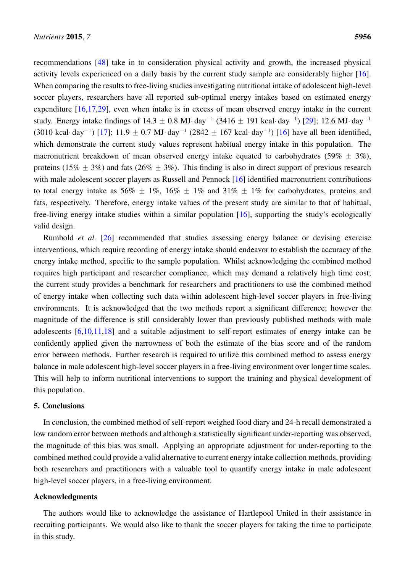recommendations [\[48\]](#page-12-5) take in to consideration physical activity and growth, the increased physical activity levels experienced on a daily basis by the current study sample are considerably higher [\[16\]](#page-10-3). When comparing the results to free-living studies investigating nutritional intake of adolescent high-level soccer players, researchers have all reported sub-optimal energy intakes based on estimated energy expenditure [\[16](#page-10-3)[,17](#page-10-4)[,29\]](#page-11-14), even when intake is in excess of mean observed energy intake in the current study. Energy intake findings of  $14.3 \pm 0.8$  MJ·day<sup>-1</sup> (3416  $\pm$  191 kcal·day<sup>-1</sup>) [\[29\]](#page-11-14); 12.6 MJ·day<sup>-1</sup> (3010 kcal· day<sup>-1</sup>) [\[17\]](#page-10-4); 11.9  $\pm$  0.7 MJ· day<sup>-1</sup> (2842  $\pm$  167 kcal· day<sup>-1</sup>) [\[16\]](#page-10-3) have all been identified, which demonstrate the current study values represent habitual energy intake in this population. The macronutrient breakdown of mean observed energy intake equated to carbohydrates (59%  $\pm$  3%), proteins (15%  $\pm$  3%) and fats (26%  $\pm$  3%). This finding is also in direct support of previous research with male adolescent soccer players as Russell and Pennock [\[16\]](#page-10-3) identified macronutrient contributions to total energy intake as 56%  $\pm$  1%, 16%  $\pm$  1% and 31%  $\pm$  1% for carbohydrates, proteins and fats, respectively. Therefore, energy intake values of the present study are similar to that of habitual, free-living energy intake studies within a similar population [\[16\]](#page-10-3), supporting the study's ecologically valid design.

<span id="page-9-5"></span><span id="page-9-4"></span><span id="page-9-3"></span><span id="page-9-2"></span><span id="page-9-1"></span><span id="page-9-0"></span>Rumbold *et al.* [\[26\]](#page-11-1) recommended that studies assessing energy balance or devising exercise interventions, which require recording of energy intake should endeavor to establish the accuracy of the energy intake method, specific to the sample population. Whilst acknowledging the combined method requires high participant and researcher compliance, which may demand a relatively high time cost; the current study provides a benchmark for researchers and practitioners to use the combined method of energy intake when collecting such data within adolescent high-level soccer players in free-living environments. It is acknowledged that the two methods report a significant difference; however the magnitude of the difference is still considerably lower than previously published methods with male adolescents [\[6,](#page-9-5)[10,](#page-9-7)[11,](#page-9-8)[18\]](#page-10-5) and a suitable adjustment to self-report estimates of energy intake can be confidently applied given the narrowness of both the estimate of the bias score and of the random error between methods. Further research is required to utilize this combined method to assess energy balance in male adolescent high-level soccer players in a free-living environment over longer time scales. This will help to inform nutritional interventions to support the training and physical development of this population.

# <span id="page-9-6"></span>5. Conclusions

<span id="page-9-7"></span>In conclusion, the combined method of self-report weighed food diary and 24-h recall demonstrated a low random error between methods and although a statistically significant under-reporting was observed, the magnitude of this bias was small. Applying an appropriate adjustment for under-reporting to the combined method could provide a valid alternative to current energy intake collection methods, providing both researchers and practitioners with a valuable tool to quantify energy intake in male adolescent high-level soccer players, in a free-living environment.

#### <span id="page-9-8"></span>Acknowledgments

The authors would like to acknowledge the assistance of Hartlepool United in their assistance in recruiting participants. We would also like to thank the soccer players for taking the time to participate in this study.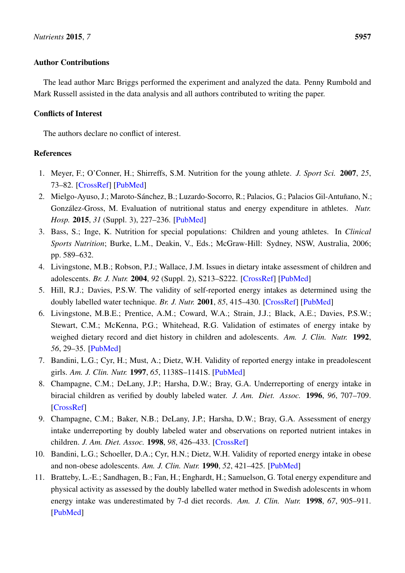# Author Contributions

<span id="page-10-0"></span>The lead author Marc Briggs performed the experiment and analyzed the data. Penny Rumbold and Mark Russell assisted in the data analysis and all authors contributed to writing the paper.

# Conflicts of Interest

<span id="page-10-1"></span>The authors declare no conflict of interest.

# References

- <span id="page-10-2"></span>1. Meyer, F.; O'Conner, H.; Shirreffs, S.M. Nutrition for the young athlete. *J. Sport Sci.* 2007, *25*, 73–82. [\[CrossRef\]](http://dx.doi.org/10.1080/02640410701607338) [\[PubMed\]](http://www.ncbi.nlm.nih.gov/pubmed/18049985)
- <span id="page-10-3"></span>2. Mielgo-Ayuso, J.; Maroto-Sánchez, B.; Luzardo-Socorro, R.; Palacios, G.; Palacios Gil-Antuñano, N.; González-Gross, M. Evaluation of nutritional status and energy expenditure in athletes. *Nutr. Hosp.* 2015, *31* (Suppl. 3), 227–236. [\[PubMed\]](http://www.ncbi.nlm.nih.gov/pubmed/25719790)
- <span id="page-10-4"></span>3. Bass, S.; Inge, K. Nutrition for special populations: Children and young athletes. In *Clinical Sports Nutrition*; Burke, L.M., Deakin, V., Eds.; McGraw-Hill: Sydney, NSW, Australia, 2006; pp. 589–632.
- <span id="page-10-5"></span>4. Livingstone, M.B.; Robson, P.J.; Wallace, J.M. Issues in dietary intake assessment of children and adolescents. *Br. J. Nutr.* 2004, *92* (Suppl. 2), S213–S222. [\[CrossRef\]](http://dx.doi.org/10.1079/BJN20041169) [\[PubMed\]](http://www.ncbi.nlm.nih.gov/pubmed/15522159)
- <span id="page-10-6"></span>5. Hill, R.J.; Davies, P.S.W. The validity of self-reported energy intakes as determined using the doubly labelled water technique. *Br. J. Nutr.* 2001, *85*, 415–430. [\[CrossRef\]](http://dx.doi.org/10.1079/BJN2000281) [\[PubMed\]](http://www.ncbi.nlm.nih.gov/pubmed/11348556)
- 6. Livingstone, M.B.E.; Prentice, A.M.; Coward, W.A.; Strain, J.J.; Black, A.E.; Davies, P.S.W.; Stewart, C.M.; McKenna, P.G.; Whitehead, R.G. Validation of estimates of energy intake by weighed dietary record and diet history in children and adolescents. *Am. J. Clin. Nutr.* 1992, *56*, 29–35. [\[PubMed\]](http://www.ncbi.nlm.nih.gov/pubmed/1609757)
- 7. Bandini, L.G.; Cyr, H.; Must, A.; Dietz, W.H. Validity of reported energy intake in preadolescent girls. *Am. J. Clin. Nutr.* 1997, *65*, 1138S–1141S. [\[PubMed\]](http://www.ncbi.nlm.nih.gov/pubmed/9094910)
- <span id="page-10-7"></span>8. Champagne, C.M.; DeLany, J.P.; Harsha, D.W.; Bray, G.A. Underreporting of energy intake in biracial children as verified by doubly labeled water. *J. Am. Diet. Assoc.* 1996, *96*, 707–709. [\[CrossRef\]](http://dx.doi.org/10.1016/S0002-8223(96)00193-9)
- <span id="page-10-8"></span>9. Champagne, C.M.; Baker, N.B.; DeLany, J.P.; Harsha, D.W.; Bray, G.A. Assessment of energy intake underreporting by doubly labeled water and observations on reported nutrient intakes in children. *J. Am. Diet. Assoc.* 1998, *98*, 426–433. [\[CrossRef\]](http://dx.doi.org/10.1016/S0002-8223(98)00097-2)
- <span id="page-10-9"></span>10. Bandini, L.G.; Schoeller, D.A.; Cyr, H.N.; Dietz, W.H. Validity of reported energy intake in obese and non-obese adolescents. *Am. J. Clin. Nutr.* 1990, *52*, 421–425. [\[PubMed\]](http://www.ncbi.nlm.nih.gov/pubmed/2393004)
- <span id="page-10-10"></span>11. Bratteby, L.-E.; Sandhagen, B.; Fan, H.; Enghardt, H.; Samuelson, G. Total energy expenditure and physical activity as assessed by the doubly labelled water method in Swedish adolescents in whom energy intake was underestimated by 7-d diet records. *Am. J. Clin. Nutr.* 1998, *67*, 905–911. [\[PubMed\]](http://www.ncbi.nlm.nih.gov/pubmed/9583848)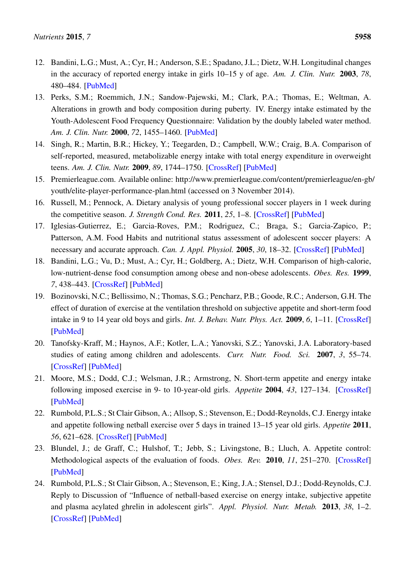- <span id="page-11-0"></span>12. Bandini, L.G.; Must, A.; Cyr, H.; Anderson, S.E.; Spadano, J.L.; Dietz, W.H. Longitudinal changes in the accuracy of reported energy intake in girls 10–15 y of age. *Am. J. Clin. Nutr.* 2003, *78*, 480–484. [\[PubMed\]](http://www.ncbi.nlm.nih.gov/pubmed/12936932)
- <span id="page-11-2"></span><span id="page-11-1"></span>13. Perks, S.M.; Roemmich, J.N.; Sandow-Pajewski, M.; Clark, P.A.; Thomas, E.; Weltman, A. Alterations in growth and body composition during puberty. IV. Energy intake estimated by the Youth-Adolescent Food Frequency Questionnaire: Validation by the doubly labeled water method. *Am. J. Clin. Nutr.* 2000, *72*, 1455–1460. [\[PubMed\]](http://www.ncbi.nlm.nih.gov/pubmed/11101471)
- 14. Singh, R.; Martin, B.R.; Hickey, Y.; Teegarden, D.; Campbell, W.W.; Craig, B.A. Comparison of self-reported, measured, metabolizable energy intake with total energy expenditure in overweight teens. *Am. J. Clin. Nutr.* 2009, *89*, 1744–1750. [\[CrossRef\]](http://dx.doi.org/10.3945/ajcn.2008.26752) [\[PubMed\]](http://www.ncbi.nlm.nih.gov/pubmed/19386746)
- <span id="page-11-14"></span>15. Premierleague.com. Available online: http://www.premierleague.com/content/premierleague/en-gb/ youth/elite-player-performance-plan.html (accessed on 3 November 2014).
- 16. Russell, M.; Pennock, A. Dietary analysis of young professional soccer players in 1 week during the competitive season. *J. Strength Cond. Res.* 2011, *25*, 1–8. [\[CrossRef\]](http://dx.doi.org/10.1519/JSC.0b013e3181e7fbdd) [\[PubMed\]](http://www.ncbi.nlm.nih.gov/pubmed/21478767)
- <span id="page-11-3"></span>17. Iglesias-Gutierrez, E.; Garcia-Roves, P.M.; Rodriguez, C.; Braga, S.; Garcia-Zapico, P.; Patterson, A.M. Food Habits and nutritional status assessment of adolescent soccer players: A necessary and accurate approach. *Can. J. Appl. Physiol.* 2005, *30*, 18–32. [\[CrossRef\]](http://dx.doi.org/10.1139/h05-102) [\[PubMed\]](http://www.ncbi.nlm.nih.gov/pubmed/15855680)
- <span id="page-11-4"></span>18. Bandini, L.G.; Vu, D.; Must, A.; Cyr, H.; Goldberg, A.; Dietz, W.H. Comparison of high-calorie, low-nutrient-dense food consumption among obese and non-obese adolescents. *Obes. Res.* 1999, *7*, 438–443. [\[CrossRef\]](http://dx.doi.org/10.1002/j.1550-8528.1999.tb00431.x) [\[PubMed\]](http://www.ncbi.nlm.nih.gov/pubmed/10509600)
- <span id="page-11-6"></span><span id="page-11-5"></span>19. Bozinovski, N.C.; Bellissimo, N.; Thomas, S.G.; Pencharz, P.B.; Goode, R.C.; Anderson, G.H. The effect of duration of exercise at the ventilation threshold on subjective appetite and short-term food intake in 9 to 14 year old boys and girls. *Int. J. Behav. Nutr. Phys. Act.* 2009, *6*, 1–11. [\[CrossRef\]](http://dx.doi.org/10.1186/1479-5868-6-66) [\[PubMed\]](http://www.ncbi.nlm.nih.gov/pubmed/19818131)
- <span id="page-11-7"></span>20. Tanofsky-Kraff, M.; Haynos, A.F.; Kotler, L.A.; Yanovski, S.Z.; Yanovski, J.A. Laboratory-based studies of eating among children and adolescents. *Curr. Nutr. Food. Sci.* 2007, *3*, 55–74. [\[CrossRef\]](http://dx.doi.org/10.2174/1573401310703010055) [\[PubMed\]](http://www.ncbi.nlm.nih.gov/pubmed/19030122)
- <span id="page-11-8"></span>21. Moore, M.S.; Dodd, C.J.; Welsman, J.R.; Armstrong, N. Short-term appetite and energy intake following imposed exercise in 9- to 10-year-old girls. *Appetite* 2004, *43*, 127–134. [\[CrossRef\]](http://dx.doi.org/10.1016/j.appet.2004.02.008) [\[PubMed\]](http://www.ncbi.nlm.nih.gov/pubmed/15458799)
- <span id="page-11-10"></span><span id="page-11-9"></span>22. Rumbold, P.L.S.; St Clair Gibson, A.; Allsop, S.; Stevenson, E.; Dodd-Reynolds, C.J. Energy intake and appetite following netball exercise over 5 days in trained 13–15 year old girls. *Appetite* 2011, *56*, 621–628. [\[CrossRef\]](http://dx.doi.org/10.1016/j.appet.2011.02.014) [\[PubMed\]](http://www.ncbi.nlm.nih.gov/pubmed/21352880)
- <span id="page-11-11"></span>23. Blundel, J.; de Graff, C.; Hulshof, T.; Jebb, S.; Livingstone, B.; Lluch, A. Appetite control: Methodological aspects of the evaluation of foods. *Obes. Rev.* 2010, *11*, 251–270. [\[CrossRef\]](http://dx.doi.org/10.1111/j.1467-789X.2010.00714.x) [\[PubMed\]](http://www.ncbi.nlm.nih.gov/pubmed/20122136)
- <span id="page-11-13"></span><span id="page-11-12"></span>24. Rumbold, P.L.S.; St Clair Gibson, A.; Stevenson, E.; King, J.A.; Stensel, D.J.; Dodd-Reynolds, C.J. Reply to Discussion of "Influence of netball-based exercise on energy intake, subjective appetite and plasma acylated ghrelin in adolescent girls". *Appl. Physiol. Nutr. Metab.* 2013, *38*, 1–2. [\[CrossRef\]](http://dx.doi.org/10.1139/apnm-2013-0266) [\[PubMed\]](http://www.ncbi.nlm.nih.gov/pubmed/24053527)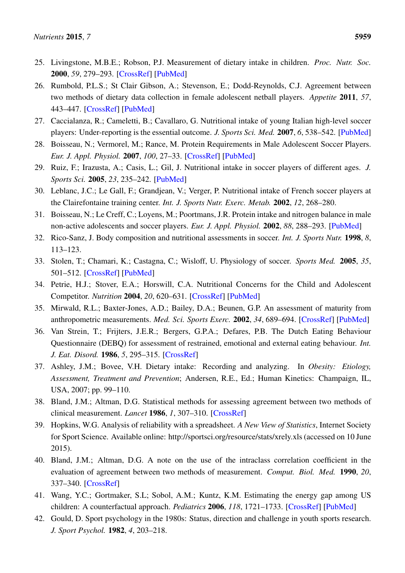- <span id="page-12-0"></span>25. Livingstone, M.B.E.; Robson, P.J. Measurement of dietary intake in children. *Proc. Nutr. Soc.* 2000, *59*, 279–293. [\[CrossRef\]](http://dx.doi.org/10.1017/S0029665100000318) [\[PubMed\]](http://www.ncbi.nlm.nih.gov/pubmed/10946797)
- <span id="page-12-1"></span>26. Rumbold, P.L.S.; St Clair Gibson, A.; Stevenson, E.; Dodd-Reynolds, C.J. Agreement between two methods of dietary data collection in female adolescent netball players. *Appetite* 2011, *57*, 443–447. [\[CrossRef\]](http://dx.doi.org/10.1016/j.appet.2011.06.013) [\[PubMed\]](http://www.ncbi.nlm.nih.gov/pubmed/21726590)
- <span id="page-12-3"></span><span id="page-12-2"></span>27. Caccialanza, R.; Cameletti, B.; Cavallaro, G. Nutritional intake of young Italian high-level soccer players: Under-reporting is the essential outcome. *J. Sports Sci. Med.* 2007, *6*, 538–542. [\[PubMed\]](http://www.ncbi.nlm.nih.gov/pubmed/24149489)
- 28. Boisseau, N.; Vermorel, M.; Rance, M. Protein Requirements in Male Adolescent Soccer Players. *Eur. J. Appl. Physiol.* 2007, *100*, 27–33. [\[CrossRef\]](http://dx.doi.org/10.1007/s00421-007-0400-4) [\[PubMed\]](http://www.ncbi.nlm.nih.gov/pubmed/17273884)
- <span id="page-12-4"></span>29. Ruiz, F.; Irazusta, A.; Casis, L.; Gil, J. Nutritional intake in soccer players of different ages. *J. Sports Sci.* 2005, *23*, 235–242. [\[PubMed\]](http://www.ncbi.nlm.nih.gov/pubmed/15966341)
- <span id="page-12-5"></span>30. Leblanc, J.C.; Le Gall, F.; Grandjean, V.; Verger, P. Nutritional intake of French soccer players at the Clairefontaine training center. *Int. J. Sports Nutr. Exerc. Metab.* 2002, *12*, 268–280.
- 31. Boisseau, N.; Le Creff, C.; Loyens, M.; Poortmans, J.R. Protein intake and nitrogen balance in male non-active adolescents and soccer players. *Eur. J. Appl. Physiol.* 2002, *88*, 288–293. [\[PubMed\]](http://www.ncbi.nlm.nih.gov/pubmed/12458373)
- 32. Rico-Sanz, J. Body composition and nutritional assessments in soccer. *Int. J. Sports Nutr.* 1998, *8*, 113–123.
- 33. Stolen, T.; Chamari, K.; Castagna, C.; Wisloff, U. Physiology of soccer. *Sports Med.* 2005, *35*, 501–512. [\[CrossRef\]](http://dx.doi.org/10.2165/00007256-200535060-00004) [\[PubMed\]](http://www.ncbi.nlm.nih.gov/pubmed/15974635)
- 34. Petrie, H.J.; Stover, E.A.; Horswill, C.A. Nutritional Concerns for the Child and Adolescent Competitor. *Nutrition* 2004, *20*, 620–631. [\[CrossRef\]](http://dx.doi.org/10.1016/j.nut.2004.04.002) [\[PubMed\]](http://www.ncbi.nlm.nih.gov/pubmed/15212744)
- 35. Mirwald, R.L.; Baxter-Jones, A.D.; Bailey, D.A.; Beunen, G.P. An assessment of maturity from anthropometric measurements. *Med. Sci. Sports Exerc.* 2002, *34*, 689–694. [\[CrossRef\]](http://dx.doi.org/10.1097/00005768-200204000-00020) [\[PubMed\]](http://www.ncbi.nlm.nih.gov/pubmed/11932580)
- 36. Van Strein, T.; Frijters, J.E.R.; Bergers, G.P.A.; Defares, P.B. The Dutch Eating Behaviour Questionnaire (DEBQ) for assessment of restrained, emotional and external eating behaviour. *Int. J. Eat. Disord.* 1986, *5*, 295–315. [\[CrossRef\]](http://dx.doi.org/10.1002/1098-108X(198602)5:2<295::AID-EAT2260050209>3.0.CO;2-T)
- 37. Ashley, J.M.; Bovee, V.H. Dietary intake: Recording and analyzing. In *Obesity: Etiology, Assessment, Treatment and Prevention*; Andersen, R.E., Ed.; Human Kinetics: Champaign, IL, USA, 2007; pp. 99–110.
- 38. Bland, J.M.; Altman, D.G. Statistical methods for assessing agreement between two methods of clinical measurement. *Lancet* 1986, *1*, 307–310. [\[CrossRef\]](http://dx.doi.org/10.1016/S0140-6736(86)90837-8)
- 39. Hopkins, W.G. Analysis of reliability with a spreadsheet. *A New View of Statistics*, Internet Society for Sport Science. Available online: http://sportsci.org/resource/stats/xrely.xls (accessed on 10 June 2015).
- 40. Bland, J.M.; Altman, D.G. A note on the use of the intraclass correlation coefficient in the evaluation of agreement between two methods of measurement. *Comput. Biol. Med.* 1990, *20*, 337–340. [\[CrossRef\]](http://dx.doi.org/10.1016/0010-4825(90)90013-F)
- 41. Wang, Y.C.; Gortmaker, S.L; Sobol, A.M.; Kuntz, K.M. Estimating the energy gap among US children: A counterfactual approach. *Pediatrics* 2006, *118*, 1721–1733. [\[CrossRef\]](http://dx.doi.org/10.1542/peds.2006-0682) [\[PubMed\]](http://www.ncbi.nlm.nih.gov/pubmed/17142497)
- 42. Gould, D. Sport psychology in the 1980s: Status, direction and challenge in youth sports research. *J. Sport Psychol.* 1982, *4*, 203–218.